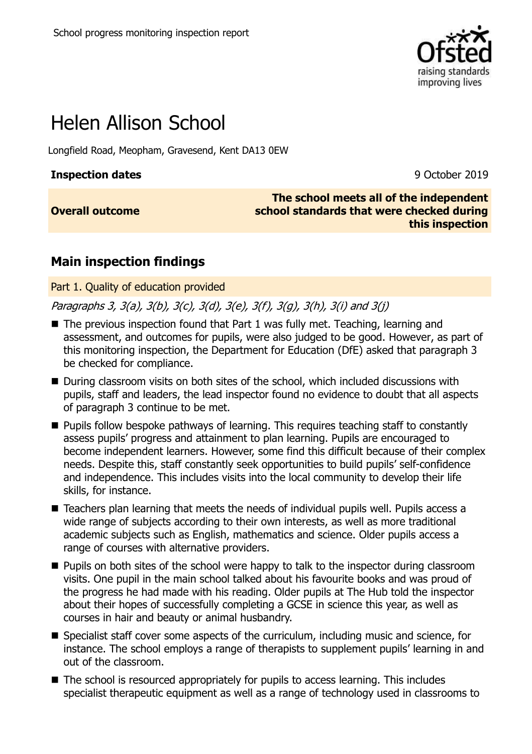

# Helen Allison School

Longfield Road, Meopham, Gravesend, Kent DA13 0EW

#### **Inspection dates** 9 October 2019

**Overall outcome**

**The school meets all of the independent school standards that were checked during this inspection**

## **Main inspection findings**

Part 1. Quality of education provided

Paragraphs 3, 3(a), 3(b), 3(c), 3(d), 3(e), 3(f), 3(g), 3(h), 3(i) and 3(j)

- $\blacksquare$  The previous inspection found that Part 1 was fully met. Teaching, learning and assessment, and outcomes for pupils, were also judged to be good. However, as part of this monitoring inspection, the Department for Education (DfE) asked that paragraph 3 be checked for compliance.
- During classroom visits on both sites of the school, which included discussions with pupils, staff and leaders, the lead inspector found no evidence to doubt that all aspects of paragraph 3 continue to be met.
- **Pupils follow bespoke pathways of learning. This requires teaching staff to constantly** assess pupils' progress and attainment to plan learning. Pupils are encouraged to become independent learners. However, some find this difficult because of their complex needs. Despite this, staff constantly seek opportunities to build pupils' self-confidence and independence. This includes visits into the local community to develop their life skills, for instance.
- Teachers plan learning that meets the needs of individual pupils well. Pupils access a wide range of subjects according to their own interests, as well as more traditional academic subjects such as English, mathematics and science. Older pupils access a range of courses with alternative providers.
- **Pupils on both sites of the school were happy to talk to the inspector during classroom** visits. One pupil in the main school talked about his favourite books and was proud of the progress he had made with his reading. Older pupils at The Hub told the inspector about their hopes of successfully completing a GCSE in science this year, as well as courses in hair and beauty or animal husbandry.
- Specialist staff cover some aspects of the curriculum, including music and science, for instance. The school employs a range of therapists to supplement pupils' learning in and out of the classroom.
- The school is resourced appropriately for pupils to access learning. This includes specialist therapeutic equipment as well as a range of technology used in classrooms to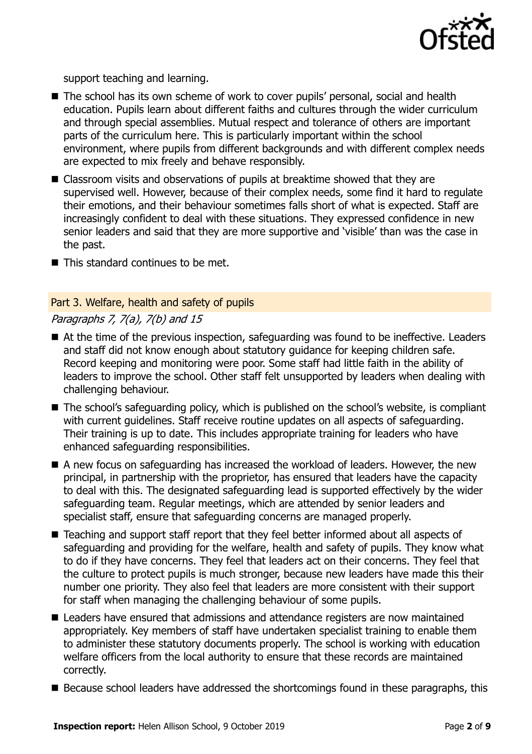

support teaching and learning.

- The school has its own scheme of work to cover pupils' personal, social and health education. Pupils learn about different faiths and cultures through the wider curriculum and through special assemblies. Mutual respect and tolerance of others are important parts of the curriculum here. This is particularly important within the school environment, where pupils from different backgrounds and with different complex needs are expected to mix freely and behave responsibly.
- Classroom visits and observations of pupils at breaktime showed that they are supervised well. However, because of their complex needs, some find it hard to regulate their emotions, and their behaviour sometimes falls short of what is expected. Staff are increasingly confident to deal with these situations. They expressed confidence in new senior leaders and said that they are more supportive and 'visible' than was the case in the past.
- $\blacksquare$  This standard continues to be met.

#### Part 3. Welfare, health and safety of pupils

#### Paragraphs 7, 7(a), 7(b) and 15

- At the time of the previous inspection, safeguarding was found to be ineffective. Leaders and staff did not know enough about statutory guidance for keeping children safe. Record keeping and monitoring were poor. Some staff had little faith in the ability of leaders to improve the school. Other staff felt unsupported by leaders when dealing with challenging behaviour.
- The school's safeguarding policy, which is published on the school's website, is compliant with current guidelines. Staff receive routine updates on all aspects of safeguarding. Their training is up to date. This includes appropriate training for leaders who have enhanced safeguarding responsibilities.
- A new focus on safeguarding has increased the workload of leaders. However, the new principal, in partnership with the proprietor, has ensured that leaders have the capacity to deal with this. The designated safeguarding lead is supported effectively by the wider safeguarding team. Regular meetings, which are attended by senior leaders and specialist staff, ensure that safeguarding concerns are managed properly.
- Teaching and support staff report that they feel better informed about all aspects of safeguarding and providing for the welfare, health and safety of pupils. They know what to do if they have concerns. They feel that leaders act on their concerns. They feel that the culture to protect pupils is much stronger, because new leaders have made this their number one priority. They also feel that leaders are more consistent with their support for staff when managing the challenging behaviour of some pupils.
- Leaders have ensured that admissions and attendance registers are now maintained appropriately. Key members of staff have undertaken specialist training to enable them to administer these statutory documents properly. The school is working with education welfare officers from the local authority to ensure that these records are maintained correctly.
- Because school leaders have addressed the shortcomings found in these paragraphs, this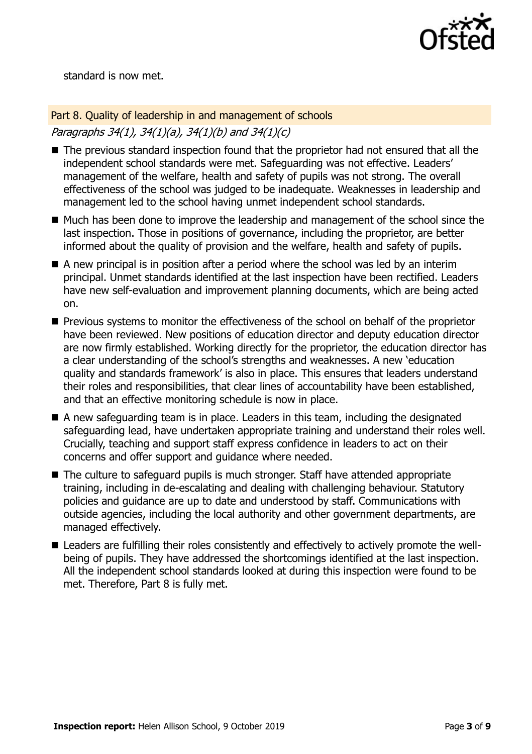

standard is now met.

Part 8. Quality of leadership in and management of schools Paragraphs 34(1), 34(1)(a), 34(1)(b) and 34(1)(c)

- The previous standard inspection found that the proprietor had not ensured that all the independent school standards were met. Safeguarding was not effective. Leaders' management of the welfare, health and safety of pupils was not strong. The overall effectiveness of the school was judged to be inadequate. Weaknesses in leadership and management led to the school having unmet independent school standards.
- Much has been done to improve the leadership and management of the school since the last inspection. Those in positions of governance, including the proprietor, are better informed about the quality of provision and the welfare, health and safety of pupils.
- A new principal is in position after a period where the school was led by an interim principal. Unmet standards identified at the last inspection have been rectified. Leaders have new self-evaluation and improvement planning documents, which are being acted on.
- **P** Previous systems to monitor the effectiveness of the school on behalf of the proprietor have been reviewed. New positions of education director and deputy education director are now firmly established. Working directly for the proprietor, the education director has a clear understanding of the school's strengths and weaknesses. A new 'education quality and standards framework' is also in place. This ensures that leaders understand their roles and responsibilities, that clear lines of accountability have been established, and that an effective monitoring schedule is now in place.
- A new safeguarding team is in place. Leaders in this team, including the designated safeguarding lead, have undertaken appropriate training and understand their roles well. Crucially, teaching and support staff express confidence in leaders to act on their concerns and offer support and guidance where needed.
- The culture to safeguard pupils is much stronger. Staff have attended appropriate training, including in de-escalating and dealing with challenging behaviour. Statutory policies and guidance are up to date and understood by staff. Communications with outside agencies, including the local authority and other government departments, are managed effectively.
- Leaders are fulfilling their roles consistently and effectively to actively promote the wellbeing of pupils. They have addressed the shortcomings identified at the last inspection. All the independent school standards looked at during this inspection were found to be met. Therefore, Part 8 is fully met.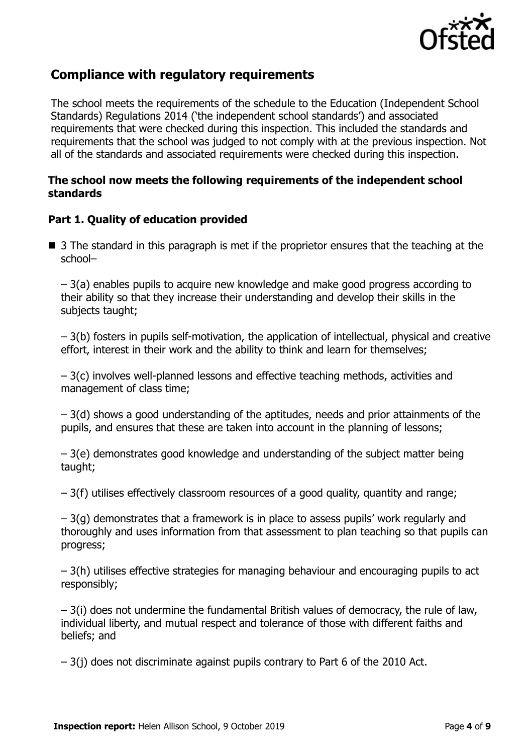

## **Compliance with regulatory requirements**

The school meets the requirements of the schedule to the Education (Independent School Standards) Regulations 2014 ('the independent school standards') and associated requirements that were checked during this inspection. This included the standards and requirements that the school was judged to not comply with at the previous inspection. Not all of the standards and associated requirements were checked during this inspection.

#### **The school now meets the following requirements of the independent school standards**

#### **Part 1. Quality of education provided**

■ 3 The standard in this paragraph is met if the proprietor ensures that the teaching at the school–

– 3(a) enables pupils to acquire new knowledge and make good progress according to their ability so that they increase their understanding and develop their skills in the subjects taught;

– 3(b) fosters in pupils self-motivation, the application of intellectual, physical and creative effort, interest in their work and the ability to think and learn for themselves;

– 3(c) involves well-planned lessons and effective teaching methods, activities and management of class time;

– 3(d) shows a good understanding of the aptitudes, needs and prior attainments of the pupils, and ensures that these are taken into account in the planning of lessons;

– 3(e) demonstrates good knowledge and understanding of the subject matter being taught;

– 3(f) utilises effectively classroom resources of a good quality, quantity and range;

– 3(g) demonstrates that a framework is in place to assess pupils' work regularly and thoroughly and uses information from that assessment to plan teaching so that pupils can progress;

– 3(h) utilises effective strategies for managing behaviour and encouraging pupils to act responsibly;

– 3(i) does not undermine the fundamental British values of democracy, the rule of law, individual liberty, and mutual respect and tolerance of those with different faiths and beliefs; and

– 3(j) does not discriminate against pupils contrary to Part 6 of the 2010 Act.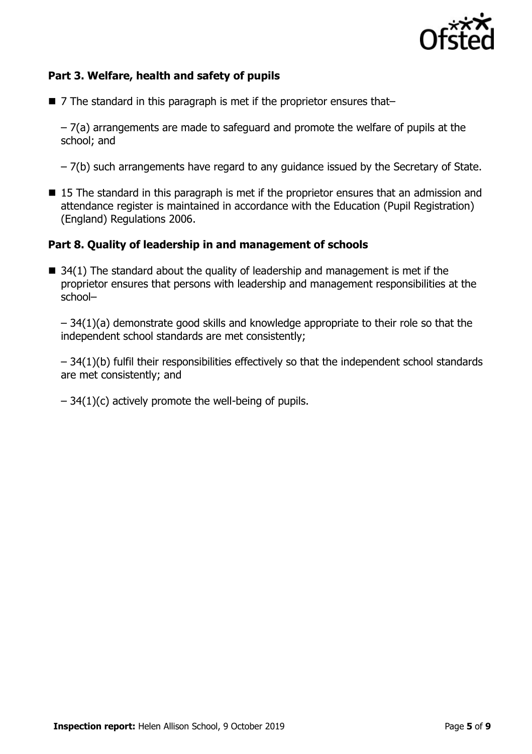

### **Part 3. Welfare, health and safety of pupils**

■ 7 The standard in this paragraph is met if the proprietor ensures that–

– 7(a) arrangements are made to safeguard and promote the welfare of pupils at the school; and

- $-7(b)$  such arrangements have regard to any guidance issued by the Secretary of State.
- 15 The standard in this paragraph is met if the proprietor ensures that an admission and attendance register is maintained in accordance with the Education (Pupil Registration) (England) Regulations 2006.

#### **Part 8. Quality of leadership in and management of schools**

 $\blacksquare$  34(1) The standard about the quality of leadership and management is met if the proprietor ensures that persons with leadership and management responsibilities at the school–

– 34(1)(a) demonstrate good skills and knowledge appropriate to their role so that the independent school standards are met consistently;

– 34(1)(b) fulfil their responsibilities effectively so that the independent school standards are met consistently; and

 $-34(1)(c)$  actively promote the well-being of pupils.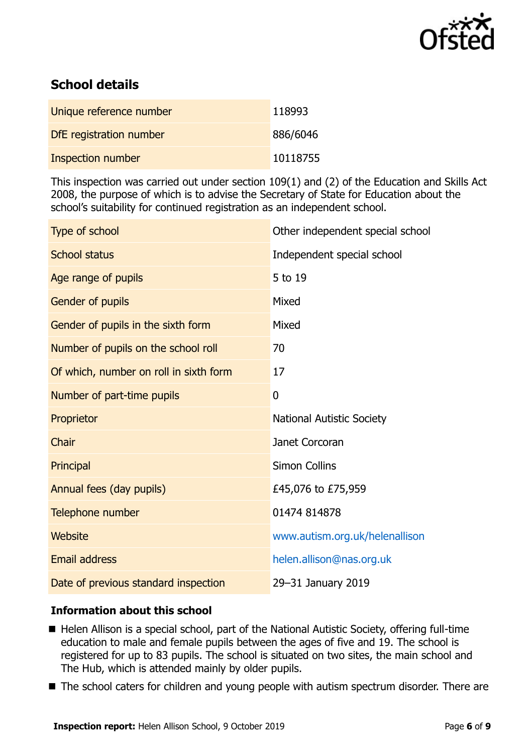

## **School details**

| Unique reference number | 118993   |
|-------------------------|----------|
| DfE registration number | 886/6046 |
| Inspection number       | 10118755 |

This inspection was carried out under section 109(1) and (2) of the Education and Skills Act 2008, the purpose of which is to advise the Secretary of State for Education about the school's suitability for continued registration as an independent school.

| Type of school                         | Other independent special school |
|----------------------------------------|----------------------------------|
| <b>School status</b>                   | Independent special school       |
| Age range of pupils                    | 5 to 19                          |
| Gender of pupils                       | Mixed                            |
| Gender of pupils in the sixth form     | Mixed                            |
| Number of pupils on the school roll    | 70                               |
| Of which, number on roll in sixth form | 17                               |
| Number of part-time pupils             | 0                                |
| Proprietor                             | <b>National Autistic Society</b> |
| Chair                                  | Janet Corcoran                   |
| Principal                              | <b>Simon Collins</b>             |
| Annual fees (day pupils)               | £45,076 to £75,959               |
| Telephone number                       | 01474 814878                     |
| Website                                | www.autism.org.uk/helenallison   |
| <b>Email address</b>                   | helen.allison@nas.org.uk         |
| Date of previous standard inspection   | 29-31 January 2019               |

### **Information about this school**

- Helen Allison is a special school, part of the National Autistic Society, offering full-time education to male and female pupils between the ages of five and 19. The school is registered for up to 83 pupils. The school is situated on two sites, the main school and The Hub, which is attended mainly by older pupils.
- The school caters for children and young people with autism spectrum disorder. There are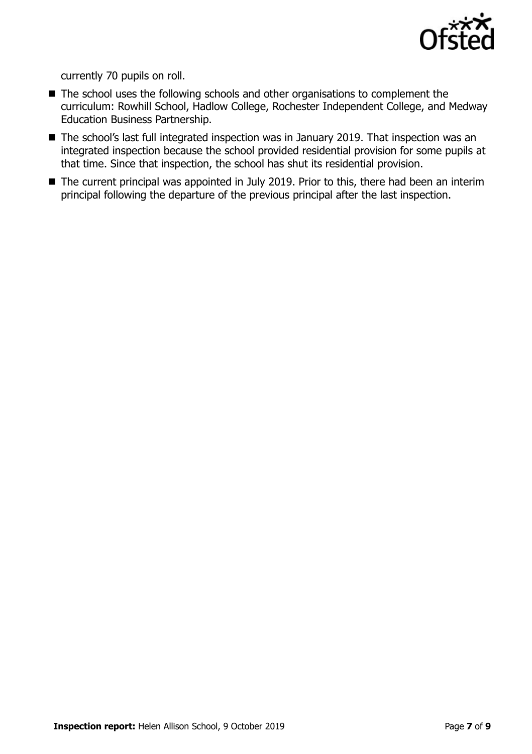

currently 70 pupils on roll.

- The school uses the following schools and other organisations to complement the curriculum: Rowhill School, Hadlow College, Rochester Independent College, and Medway Education Business Partnership.
- The school's last full integrated inspection was in January 2019. That inspection was an integrated inspection because the school provided residential provision for some pupils at that time. Since that inspection, the school has shut its residential provision.
- The current principal was appointed in July 2019. Prior to this, there had been an interim principal following the departure of the previous principal after the last inspection.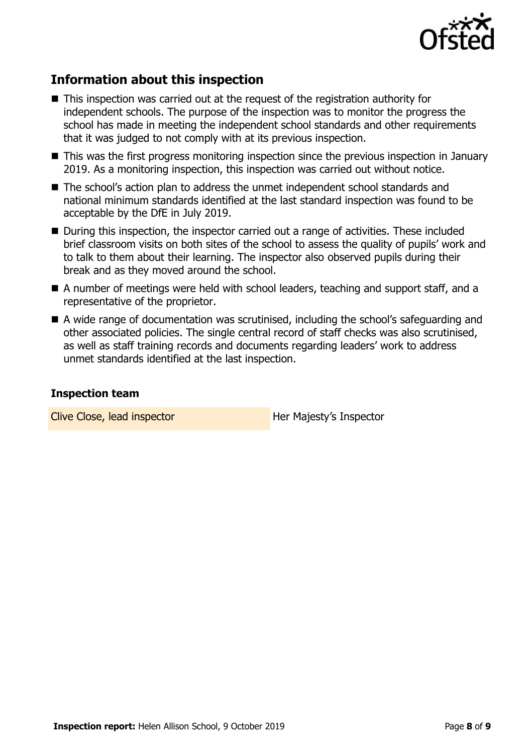

## **Information about this inspection**

- This inspection was carried out at the request of the registration authority for independent schools. The purpose of the inspection was to monitor the progress the school has made in meeting the independent school standards and other requirements that it was judged to not comply with at its previous inspection.
- This was the first progress monitoring inspection since the previous inspection in January 2019. As a monitoring inspection, this inspection was carried out without notice.
- The school's action plan to address the unmet independent school standards and national minimum standards identified at the last standard inspection was found to be acceptable by the DfE in July 2019.
- During this inspection, the inspector carried out a range of activities. These included brief classroom visits on both sites of the school to assess the quality of pupils' work and to talk to them about their learning. The inspector also observed pupils during their break and as they moved around the school.
- A number of meetings were held with school leaders, teaching and support staff, and a representative of the proprietor.
- A wide range of documentation was scrutinised, including the school's safeguarding and other associated policies. The single central record of staff checks was also scrutinised, as well as staff training records and documents regarding leaders' work to address unmet standards identified at the last inspection.

#### **Inspection team**

Clive Close, lead inspector **Her Majesty's Inspector**